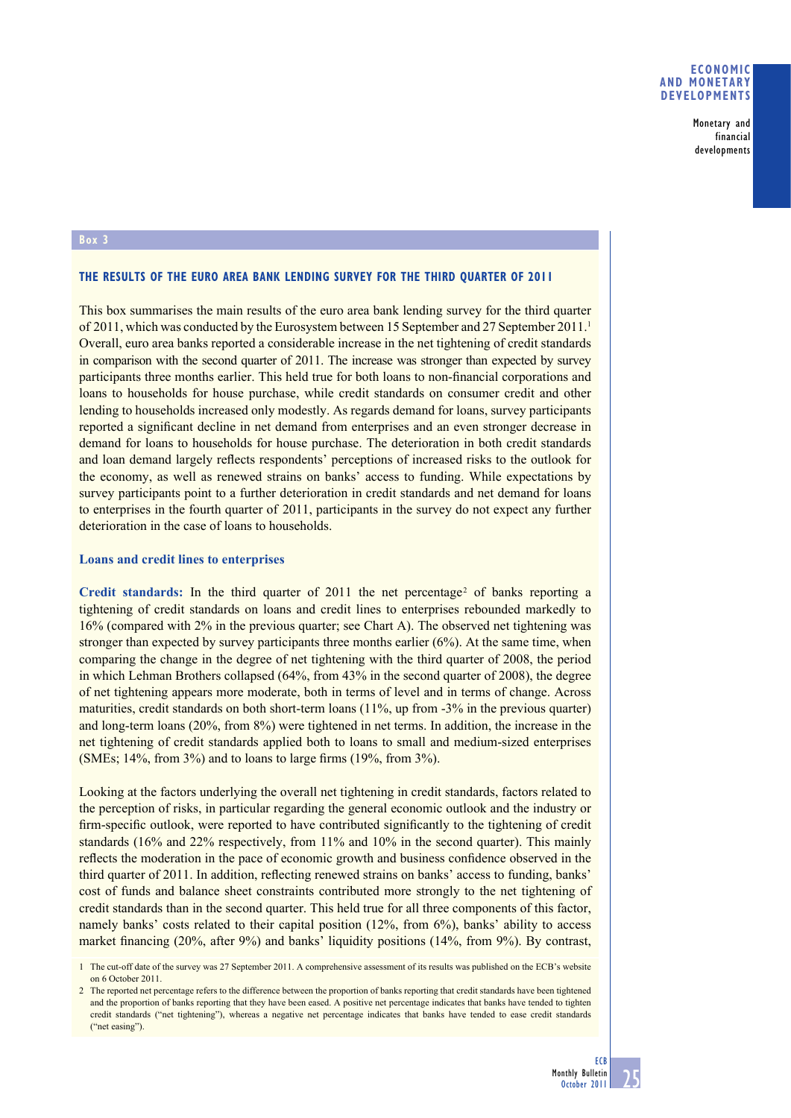### **ECONOMIC AND MONETARY DEVELOPMENTS**

Monetary and financial developments

### **Box 3**

#### **THE RESULTS OF THE EURO AREA BANK LENDING SURVEY FOR THE THIRD QUARTER OF 2011**

This box summarises the main results of the euro area bank lending survey for the third quarter of 2011, which was conducted by the Eurosystem between 15 September and 27 September 2011.<sup>1</sup> Overall, euro area banks reported a considerable increase in the net tightening of credit standards in comparison with the second quarter of 2011. The increase was stronger than expected by survey participants three months earlier. This held true for both loans to non-financial corporations and loans to households for house purchase, while credit standards on consumer credit and other lending to households increased only modestly. As regards demand for loans, survey participants reported a significant decline in net demand from enterprises and an even stronger decrease in demand for loans to households for house purchase. The deterioration in both credit standards and loan demand largely reflects respondents' perceptions of increased risks to the outlook for the economy, as well as renewed strains on banks' access to funding. While expectations by survey participants point to a further deterioration in credit standards and net demand for loans to enterprises in the fourth quarter of 2011, participants in the survey do not expect any further deterioration in the case of loans to households.

### **Loans and credit lines to enterprises**

Credit standards: In the third quarter of  $2011$  the net percentage<sup>2</sup> of banks reporting a tightening of credit standards on loans and credit lines to enterprises rebounded markedly to 16% (compared with 2% in the previous quarter; see Chart A). The observed net tightening was stronger than expected by survey participants three months earlier (6%). At the same time, when comparing the change in the degree of net tightening with the third quarter of 2008, the period in which Lehman Brothers collapsed (64%, from 43% in the second quarter of 2008), the degree of net tightening appears more moderate, both in terms of level and in terms of change. Across maturities, credit standards on both short-term loans (11%, up from -3% in the previous quarter) and long-term loans (20%, from 8%) were tightened in net terms. In addition, the increase in the net tightening of credit standards applied both to loans to small and medium-sized enterprises (SMEs;  $14\%$ , from  $3\%$ ) and to loans to large firms ( $19\%$ , from  $3\%$ ).

Looking at the factors underlying the overall net tightening in credit standards, factors related to the perception of risks, in particular regarding the general economic outlook and the industry or firm-specific outlook, were reported to have contributed significantly to the tightening of credit standards (16% and 22% respectively, from 11% and 10% in the second quarter). This mainly reflects the moderation in the pace of economic growth and business confidence observed in the third quarter of 2011. In addition, reflecting renewed strains on banks' access to funding, banks' cost of funds and balance sheet constraints contributed more strongly to the net tightening of credit standards than in the second quarter. This held true for all three components of this factor, namely banks' costs related to their capital position (12%, from 6%), banks' ability to access market financing  $(20\%$ , after 9%) and banks' liquidity positions  $(14\%$ , from 9%). By contrast,

<sup>1</sup> The cut-off date of the survey was 27 September 2011. A comprehensive assessment of its results was published on the ECB's website on 6 October 2011.

<sup>2</sup> The reported net percentage refers to the difference between the proportion of banks reporting that credit standards have been tightened and the proportion of banks reporting that they have been eased. A positive net percentage indicates that banks have tended to tighten credit standards ("net tightening"), whereas a negative net percentage indicates that banks have tended to ease credit standards ("net easing").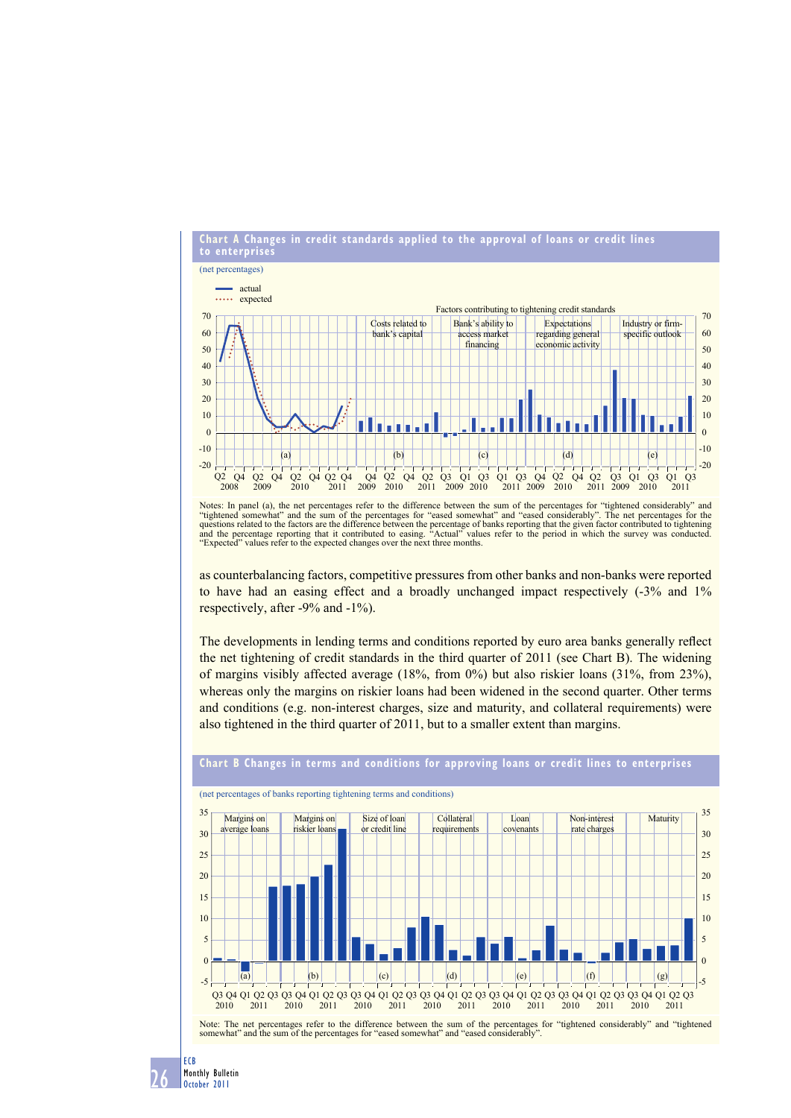

Notes: In panel (a), the net percentages refer to the difference between the sum of the percentages for "tightened considerably" and "tightened somewhat" and the sum of the percentages for "eased somewhat" and "eased considerably". The net percentages for the<br>questions related to the factors are the difference between the percentage of banks reporting t "Expected" values refer to the expected changes over the next three months.

as counterbalancing factors, competitive pressures from other banks and non-banks were reported to have had an easing effect and a broadly unchanged impact respectively (-3% and 1% respectively, after -9% and -1%).

The developments in lending terms and conditions reported by euro area banks generally reflect the net tightening of credit standards in the third quarter of 2011 (see Chart B). The widening of margins visibly affected average (18%, from 0%) but also riskier loans (31%, from 23%), whereas only the margins on riskier loans had been widened in the second quarter. Other terms and conditions (e.g. non-interest charges, size and maturity, and collateral requirements) were also tightened in the third quarter of 2011, but to a smaller extent than margins.



# **Chart B Changes in terms and conditions for approving loans or credit lines to enterprises**

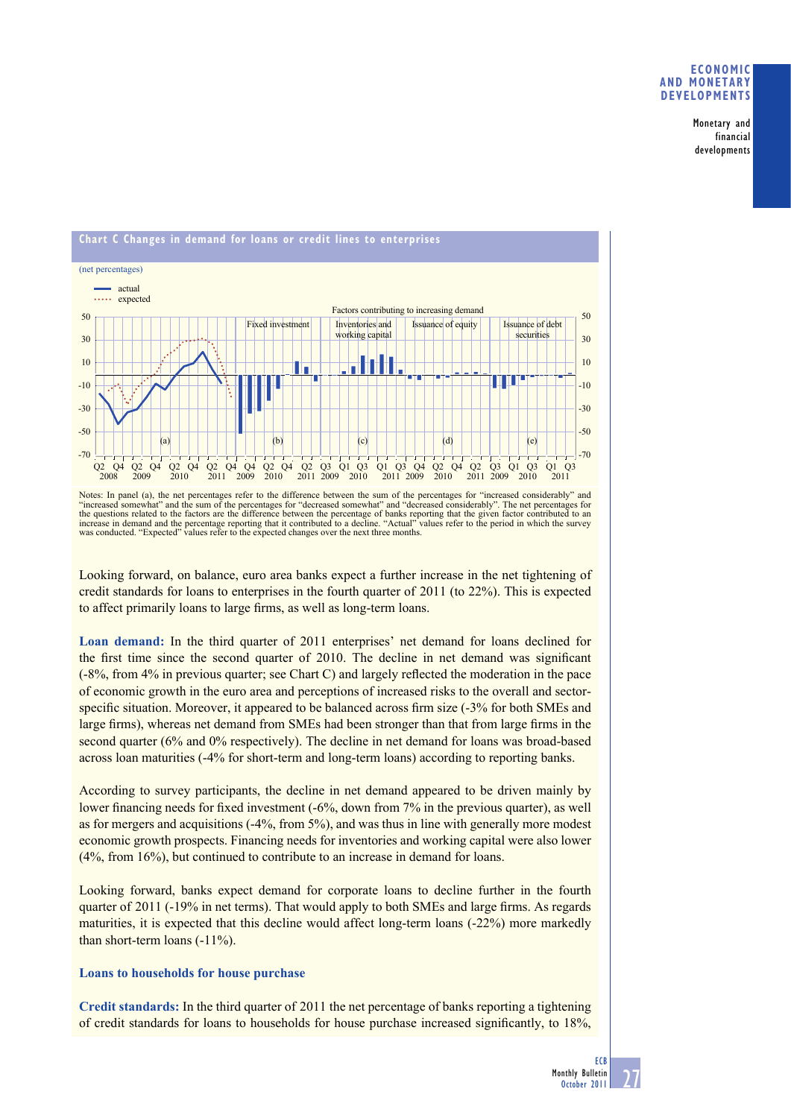### **ECONOMIC AND MONETARY DEVELOPMENTS**

Monetary and financial developments



Notes: In panel (a), the net percentages refer to the difference between the sum of the percentages for "increased considerably" and "increased somewhat" and the sum of the percentages for "decreased somewhat" and "decreased considerably". The net percentages for<br>the questions related to the factors are the difference between the percentage of banks rep increase in demand and the percentage reporting that it contributed to a decline. "Actual" values refer to the period in which the survey<br>was conducted. "Expected" values refer to the expected changes over the next three m

Looking forward, on balance, euro area banks expect a further increase in the net tightening of credit standards for loans to enterprises in the fourth quarter of 2011 (to 22%). This is expected to affect primarily loans to large firms, as well as long-term loans.

**Loan demand:** In the third quarter of 2011 enterprises' net demand for loans declined for the first time since the second quarter of 2010. The decline in net demand was significant (-8%, from 4% in previous quarter; see Chart C) and largely reflected the moderation in the pace of economic growth in the euro area and perceptions of increased risks to the overall and sectorspecific situation. Moreover, it appeared to be balanced across firm size  $(-3)$  for both SMEs and large firms), whereas net demand from SMEs had been stronger than that from large firms in the second quarter (6% and 0% respectively). The decline in net demand for loans was broad-based across loan maturities (-4% for short-term and long-term loans) according to reporting banks.

According to survey participants, the decline in net demand appeared to be driven mainly by lower financing needs for fixed investment  $(-6\%$ , down from 7% in the previous quarter), as well as for mergers and acquisitions (-4%, from 5%), and was thus in line with generally more modest economic growth prospects. Financing needs for inventories and working capital were also lower (4%, from 16%), but continued to contribute to an increase in demand for loans.

Looking forward, banks expect demand for corporate loans to decline further in the fourth quarter of 2011 (-19% in net terms). That would apply to both SMEs and large firms. As regards maturities, it is expected that this decline would affect long-term loans (-22%) more markedly than short-term loans (-11%).

# **Loans to households for house purchase**

**Credit standards:** In the third quarter of 2011 the net percentage of banks reporting a tightening of credit standards for loans to households for house purchase increased significantly, to 18%,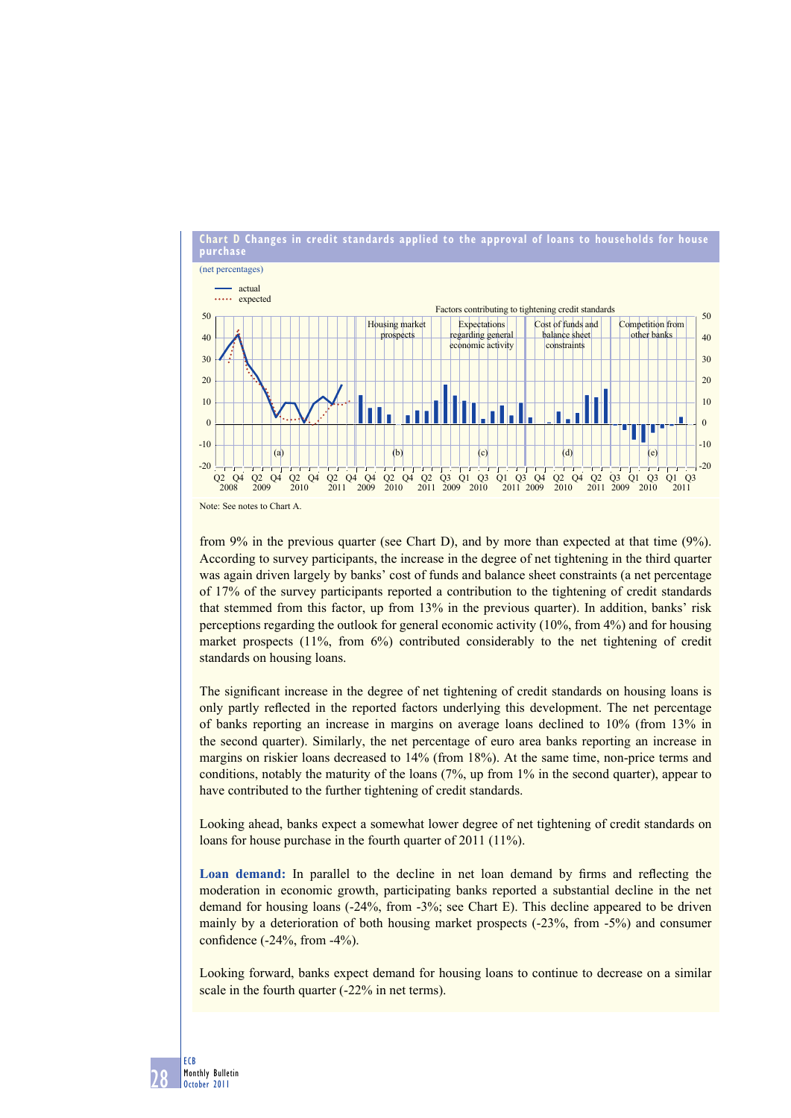

from 9% in the previous quarter (see Chart D), and by more than expected at that time (9%). According to survey participants, the increase in the degree of net tightening in the third quarter was again driven largely by banks' cost of funds and balance sheet constraints (a net percentage of 17% of the survey participants reported a contribution to the tightening of credit standards that stemmed from this factor, up from 13% in the previous quarter). In addition, banks' risk perceptions regarding the outlook for general economic activity (10%, from 4%) and for housing market prospects (11%, from 6%) contributed considerably to the net tightening of credit standards on housing loans.

The significant increase in the degree of net tightening of credit standards on housing loans is only partly reflected in the reported factors underlying this development. The net percentage of banks reporting an increase in margins on average loans declined to 10% (from 13% in the second quarter). Similarly, the net percentage of euro area banks reporting an increase in margins on riskier loans decreased to 14% (from 18%). At the same time, non-price terms and conditions, notably the maturity of the loans (7%, up from 1% in the second quarter), appear to have contributed to the further tightening of credit standards.

Looking ahead, banks expect a somewhat lower degree of net tightening of credit standards on loans for house purchase in the fourth quarter of 2011 (11%).

**Loan demand:** In parallel to the decline in net loan demand by firms and reflecting the moderation in economic growth, participating banks reported a substantial decline in the net demand for housing loans (-24%, from -3%; see Chart E). This decline appeared to be driven mainly by a deterioration of both housing market prospects (-23%, from -5%) and consumer confidence  $(-24\%,$  from  $-4\%$ ).

Looking forward, banks expect demand for housing loans to continue to decrease on a similar scale in the fourth quarter (-22% in net terms).

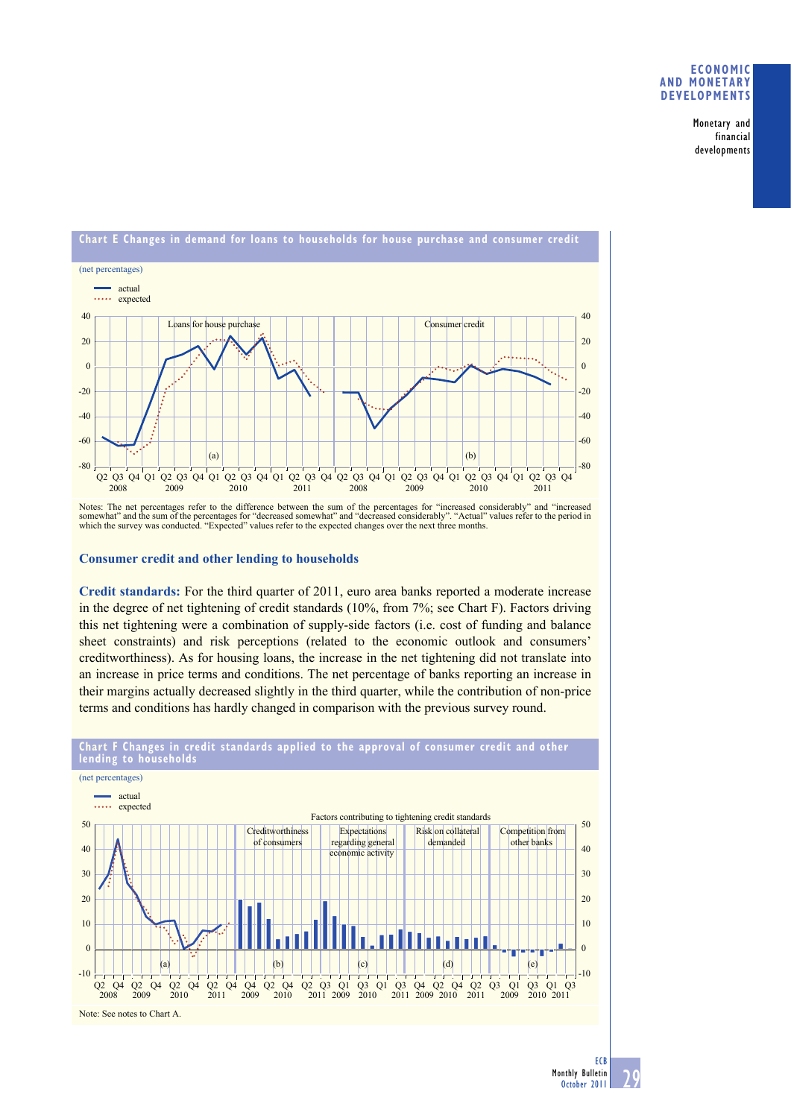### **ECONOMIC AND MONETARY DEVELOPMENTS**

Monetary and financial developments



Notes: The net percentages refer to the difference between the sum of the percentages for "increased considerably" and "increased somewhat" and the sum of the percentages for "decreased somewhat" and "decreased considerably". "Actual" values refer to the period in<br>which the survey was conducted. "Expected" values refer to the expected changes over th

## **Consumer credit and other lending to households**

**Credit standards:** For the third quarter of 2011, euro area banks reported a moderate increase in the degree of net tightening of credit standards (10%, from 7%; see Chart F). Factors driving this net tightening were a combination of supply-side factors (i.e. cost of funding and balance sheet constraints) and risk perceptions (related to the economic outlook and consumers' creditworthiness). As for housing loans, the increase in the net tightening did not translate into an increase in price terms and conditions. The net percentage of banks reporting an increase in their margins actually decreased slightly in the third quarter, while the contribution of non-price terms and conditions has hardly changed in comparison with the previous survey round.



# **Chart F Changes in credit standards applied to the approval of consumer credit and other lending to househo**